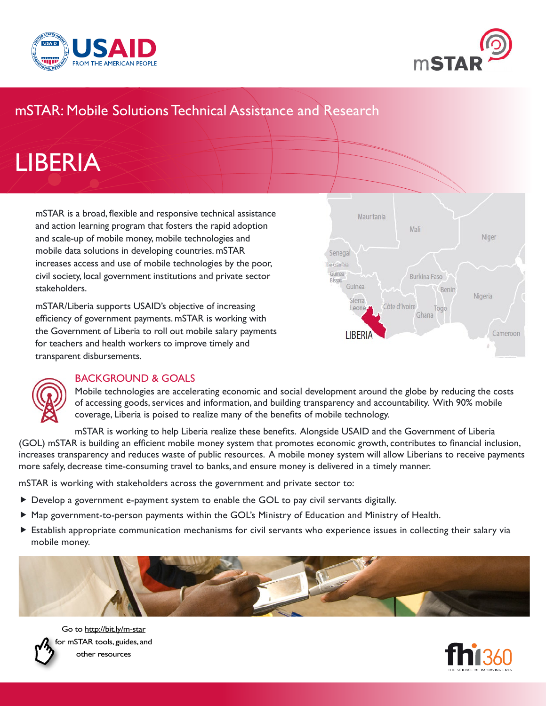



# mSTAR: Mobile Solutions Technical Assistance and Research

# LIBERIA

mSTAR is a broad, flexible and responsive technical assistance and action learning program that fosters the rapid adoption and scale-up of mobile money, mobile technologies and mobile data solutions in developing countries. mSTAR increases access and use of mobile technologies by the poor, civil society, local government institutions and private sector stakeholders.

mSTAR/Liberia supports USAID's objective of increasing efficiency of government payments. mSTAR is working with the Government of Liberia to roll out mobile salary payments for teachers and health workers to improve timely and transparent disbursements.





#### BACKGROUND & GOALS

Mobile technologies are accelerating economic and social development around the globe by reducing the costs of accessing goods, services and information, and building transparency and accountability. With 90% mobile coverage, Liberia is poised to realize many of the benefits of mobile technology.

mSTAR is working to help Liberia realize these benefits. Alongside USAID and the Government of Liberia (GOL) mSTAR is building an efficient mobile money system that promotes economic growth, contributes to financial inclusion, increases transparency and reduces waste of public resources. A mobile money system will allow Liberians to receive payments more safely, decrease time-consuming travel to banks, and ensure money is delivered in a timely manner.

mSTAR is working with stakeholders across the government and private sector to:

- Develop a government e-payment system to enable the GOL to pay civil servants digitally.
- Map government-to-person payments within the GOL's Ministry of Education and Ministry of Health.
- Establish appropriate communication mechanisms for civil servants who experience issues in collecting their salary via mobile money.





Go to http://bit.ly/m-star for mSTAR tools, guides, and other resources